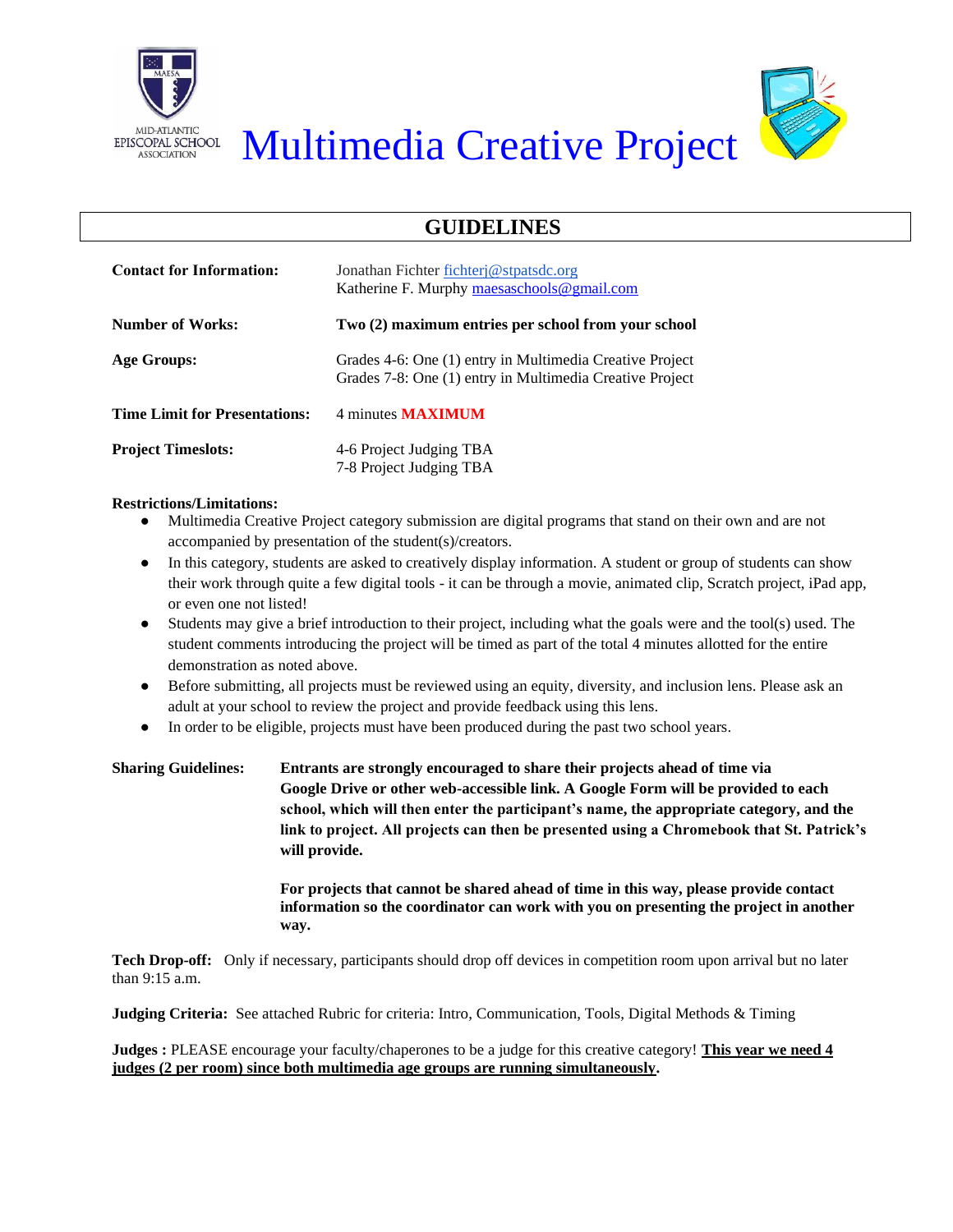



## EPISCOPAL SCHOOL Multimedia Creative Project

## **GUIDELINES**

| <b>Contact for Information:</b>      | Jonathan Fichter fichter @ stpatsdc.org<br>Katherine F. Murphy maesaschools @gmail.com                               |  |  |
|--------------------------------------|----------------------------------------------------------------------------------------------------------------------|--|--|
| <b>Number of Works:</b>              | Two (2) maximum entries per school from your school                                                                  |  |  |
| Age Groups:                          | Grades 4-6: One (1) entry in Multimedia Creative Project<br>Grades 7-8: One (1) entry in Multimedia Creative Project |  |  |
| <b>Time Limit for Presentations:</b> | 4 minutes <b>MAXIMUM</b>                                                                                             |  |  |
| <b>Project Timeslots:</b>            | 4-6 Project Judging TBA<br>7-8 Project Judging TBA                                                                   |  |  |

## **Restrictions/Limitations:**

- Multimedia Creative Project category submission are digital programs that stand on their own and are not accompanied by presentation of the student(s)/creators.
- In this category, students are asked to creatively display information. A student or group of students can show their work through quite a few digital tools - it can be through a movie, animated clip, Scratch project, iPad app, or even one not listed!
- Students may give a brief introduction to their project, including what the goals were and the tool(s) used. The student comments introducing the project will be timed as part of the total 4 minutes allotted for the entire demonstration as noted above.
- Before submitting, all projects must be reviewed using an equity, diversity, and inclusion lens. Please ask an adult at your school to review the project and provide feedback using this lens.
- In order to be eligible, projects must have been produced during the past two school years.

| <b>Sharing Guidelines:</b> | Entrants are strongly encouraged to share their projects ahead of time via                |
|----------------------------|-------------------------------------------------------------------------------------------|
|                            | Google Drive or other web-accessible link. A Google Form will be provided to each         |
|                            | school, which will then enter the participant's name, the appropriate category, and the   |
|                            | link to project. All projects can then be presented using a Chromebook that St. Patrick's |
|                            | will provide.                                                                             |
|                            |                                                                                           |

**For projects that cannot be shared ahead of time in this way, please provide contact information so the coordinator can work with you on presenting the project in another way.** 

**Tech Drop-off:** Only if necessary, participants should drop off devices in competition room upon arrival but no later than 9:15 a.m.

**Judging Criteria:** See attached Rubric for criteria: Intro, Communication, Tools, Digital Methods & Timing

**Judges : PLEASE encourage your faculty/chaperones to be a judge for this creative category! This year we need 4 judges (2 per room) since both multimedia age groups are running simultaneously.**